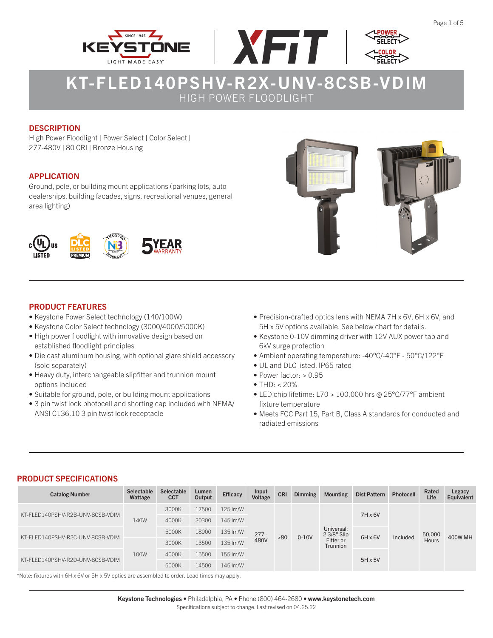





## **DESCRIPTION**

High Power Floodlight | Power Select | Color Select | 277-480V | 80 CRI | Bronze Housing

### APPLICATION

Ground, pole, or building mount applications (parking lots, auto dealerships, building facades, signs, recreational venues, general area lighting)



## PRODUCT FEATURES

- Keystone Power Select technology (140/100W)
- Keystone Color Select technology (3000/4000/5000K)
- High power floodlight with innovative design based on established floodlight principles
- Die cast aluminum housing, with optional glare shield accessory (sold separately)
- Heavy duty, interchangeable slipfitter and trunnion mount options included
- Suitable for ground, pole, or building mount applications
- 3 pin twist lock photocell and shorting cap included with NEMA/ ANSI C136.10 3 pin twist lock receptacle
- 
- Precision-crafted optics lens with NEMA 7H x 6V, 6H x 6V, and 5H x 5V options available. See below chart for details.
- Keystone 0-10V dimming driver with 12V AUX power tap and 6kV surge protection
- Ambient operating temperature: -40°C/-40°F 50°C/122°F
- UL and DLC listed, IP65 rated
- Power factor:  $> 0.95$
- THD:  $< 20\%$
- LED chip lifetime: L70 > 100,000 hrs @ 25°C/77°F ambient fixture temperature
- Meets FCC Part 15, Part B, Class A standards for conducted and radiated emissions

### PRODUCT SPECIFICATIONS

| <b>Catalog Number</b>            | <b>Selectable</b><br>Wattage             | <b>Selectable</b><br><b>CCT</b> | Lumen<br>Output | <b>Efficacy</b> | Input<br>Voltage | <b>CRI</b> | <b>Dimming</b> | <b>Mounting</b>              | <b>Dist Pattern</b> | <b>Photocell</b> | Rated<br>Life | Legacy<br>Equivalent |
|----------------------------------|------------------------------------------|---------------------------------|-----------------|-----------------|------------------|------------|----------------|------------------------------|---------------------|------------------|---------------|----------------------|
| KT-FLED140PSHV-R2B-UNV-8CSB-VDIM |                                          | 3000K                           | 17500           | 125 lm/W        |                  |            |                |                              | $7H \times 6V$      |                  |               |                      |
|                                  | 140W                                     | 4000K                           | 20300           | 145 lm/W        |                  |            |                |                              |                     |                  |               |                      |
| KT-FLED140PSHV-R2C-UNV-8CSB-VDIM |                                          | 5000K                           | 18900           | 135 Im/W        | $277 -$          | >80        | $0-10V$        | Universal:<br>2 3/8" Slip    | $6H \times 6V$      | Included         | 50,000        | <b>400W MH</b>       |
|                                  |                                          | 3000K                           | 13500           | 135 Im/W        | 480V             |            |                | Fitter or<br><b>Trunnion</b> |                     |                  | Hours         |                      |
|                                  | 100W<br>KT-FLED140PSHV-R2D-UNV-8CSB-VDIM | 4000K                           | 15500           | 155 lm/W        |                  |            |                |                              | $5H \times 5V$      |                  |               |                      |
|                                  |                                          | 5000K                           | 14500           | 145 lm/W        |                  |            |                |                              |                     |                  |               |                      |

\*Note: fixtures with 6H x 6V or 5H x 5V optics are assembled to order. Lead times may apply.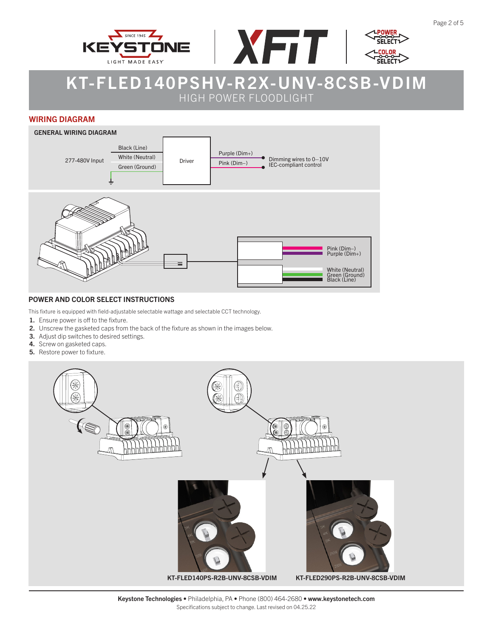





#### WIRING DIAGRAM



#### POWER AND COLOR SELECT INSTRUCTIONS

This fixture is equipped with field-adjustable selectable wattage and selectable CCT technology.

- 1. Ensure power is off to the fixture.
- 2. Unscrew the gasketed caps from the back of the fixture as shown in the images below.
- 3. Adjust dip switches to desired settings.
- 4. Screw on gasketed caps.
- 5. Restore power to fixture.

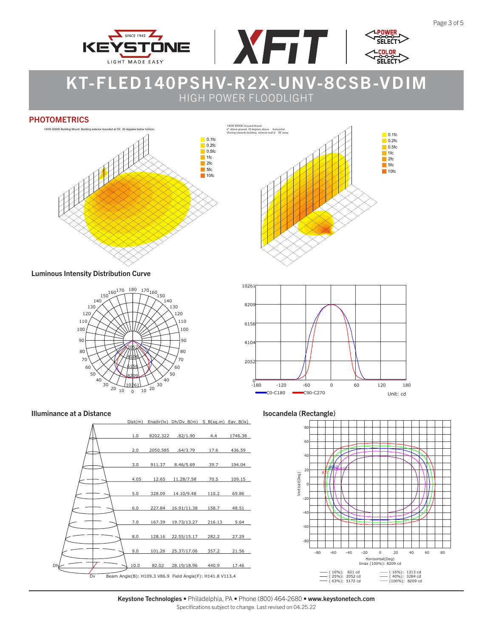



#### **PHOTOMETRICS**



Luminous Intensity Distribution Curve













Keystone Technologies • Philadelphia, PA • Phone (800) 464-2680 • www.keystonetech.com Specifications subject to change. Last revised on 04.25.22

**POWE** 

וח־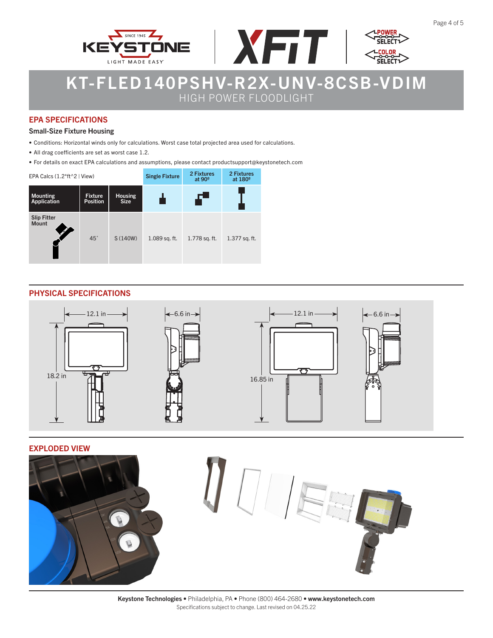



### EPA SPECIFICATIONS

#### Small-Size Fixture Housing

- Conditions: Horizontal winds only for calculations. Worst case total projected area used for calculations.
- All drag coefficients are set as worst case 1.2.
- For details on exact EPA calculations and assumptions, please contact productsupport@keystonetech.com

| EPA Calcs $(1.2*ft^2$   View)  |                                   | <b>Single Fixture</b>         | 2 Fixtures<br>at $90°$ | 2 Fixtures<br>at 180 <sup>°</sup> |               |
|--------------------------------|-----------------------------------|-------------------------------|------------------------|-----------------------------------|---------------|
| <b>Mounting</b><br>Application | <b>Fixture</b><br><b>Position</b> | <b>Housing</b><br><b>Size</b> |                        | Æ                                 |               |
| <b>Slip Fitter</b><br>Mount    | $45^\circ$                        | S (140W)                      | 1.089 sq. ft.          | 1.778 sq. ft.                     | 1.377 sq. ft. |

#### PHYSICAL SPECIFICATIONS



#### EXPLODED VIEW